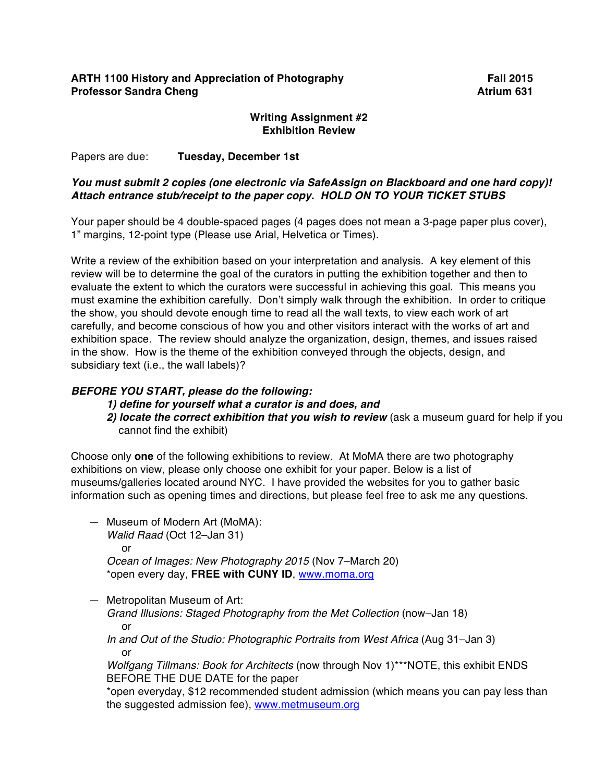## **ARTH 1100 History and Appreciation of Photography Fall 2015 Professor Sandra Cheng Atrium 631**

## **Writing Assignment #2 Exhibition Review**

Papers are due: **Tuesday, December 1st**

## *You must submit 2 copies (one electronic via SafeAssign on Blackboard and one hard copy)! Attach entrance stub/receipt to the paper copy. HOLD ON TO YOUR TICKET STUBS*

Your paper should be 4 double-spaced pages (4 pages does not mean a 3-page paper plus cover), 1" margins, 12-point type (Please use Arial, Helvetica or Times).

Write a review of the exhibition based on your interpretation and analysis. A key element of this review will be to determine the goal of the curators in putting the exhibition together and then to evaluate the extent to which the curators were successful in achieving this goal. This means you must examine the exhibition carefully. Don't simply walk through the exhibition. In order to critique the show, you should devote enough time to read all the wall texts, to view each work of art carefully, and become conscious of how you and other visitors interact with the works of art and exhibition space. The review should analyze the organization, design, themes, and issues raised in the show. How is the theme of the exhibition conveyed through the objects, design, and subsidiary text (i.e., the wall labels)?

## *BEFORE YOU START, please do the following:*

- *1) define for yourself what a curator is and does, and*
- 2) locate the correct exhibition that you wish to review (ask a museum quard for help if you cannot find the exhibit)

Choose only **one** of the following exhibitions to review. At MoMA there are two photography exhibitions on view, please only choose one exhibit for your paper. Below is a list of museums/galleries located around NYC. I have provided the websites for you to gather basic information such as opening times and directions, but please feel free to ask me any questions.

- Museum of Modern Art (MoMA): *Walid Raad* (Oct 12–Jan 31) or *Ocean of Images: New Photography 2015* (Nov 7–March 20) \*open every day, **FREE with CUNY ID**, www.moma.org
- Metropolitan Museum of Art:

*Grand Illusions: Staged Photography from the Met Collection (now–Jan 18)* or

*In and Out of the Studio: Photographic Portraits from West Africa* (Aug 31–Jan 3) or

*Wolfgang Tillmans: Book for Architects* (now through Nov 1)\*\*\*NOTE, this exhibit ENDS BEFORE THE DUE DATE for the paper

\*open everyday, \$12 recommended student admission (which means you can pay less than the suggested admission fee), www.metmuseum.org